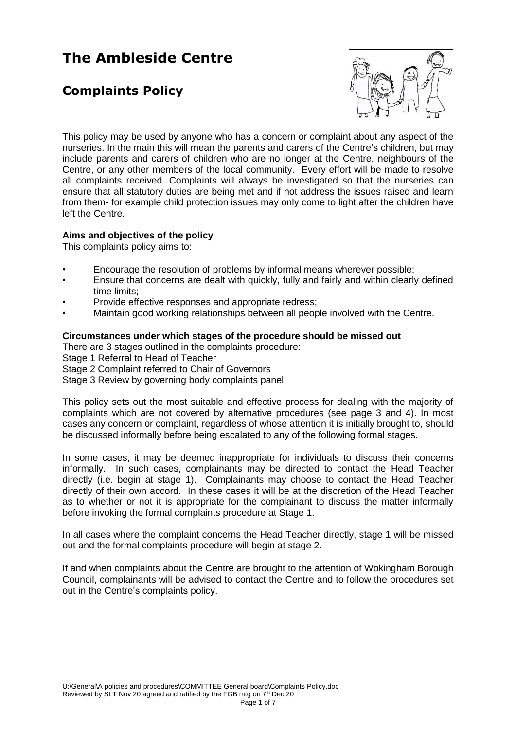# **The Ambleside Centre**

## **Complaints Policy**



This policy may be used by anyone who has a concern or complaint about any aspect of the nurseries. In the main this will mean the parents and carers of the Centre's children, but may include parents and carers of children who are no longer at the Centre, neighbours of the Centre, or any other members of the local community. Every effort will be made to resolve all complaints received. Complaints will always be investigated so that the nurseries can ensure that all statutory duties are being met and if not address the issues raised and learn from them- for example child protection issues may only come to light after the children have left the Centre.

## **Aims and objectives of the policy**

This complaints policy aims to:

- Encourage the resolution of problems by informal means wherever possible;
- Ensure that concerns are dealt with quickly, fully and fairly and within clearly defined time limits;
- Provide effective responses and appropriate redress;
- Maintain good working relationships between all people involved with the Centre.

### **Circumstances under which stages of the procedure should be missed out**

There are 3 stages outlined in the complaints procedure:

Stage 1 Referral to Head of Teacher

Stage 2 Complaint referred to Chair of Governors

Stage 3 Review by governing body complaints panel

This policy sets out the most suitable and effective process for dealing with the majority of complaints which are not covered by alternative procedures (see page 3 and 4). In most cases any concern or complaint, regardless of whose attention it is initially brought to, should be discussed informally before being escalated to any of the following formal stages.

In some cases, it may be deemed inappropriate for individuals to discuss their concerns informally. In such cases, complainants may be directed to contact the Head Teacher directly (i.e. begin at stage 1). Complainants may choose to contact the Head Teacher directly of their own accord. In these cases it will be at the discretion of the Head Teacher as to whether or not it is appropriate for the complainant to discuss the matter informally before invoking the formal complaints procedure at Stage 1.

In all cases where the complaint concerns the Head Teacher directly, stage 1 will be missed out and the formal complaints procedure will begin at stage 2.

If and when complaints about the Centre are brought to the attention of Wokingham Borough Council, complainants will be advised to contact the Centre and to follow the procedures set out in the Centre's complaints policy.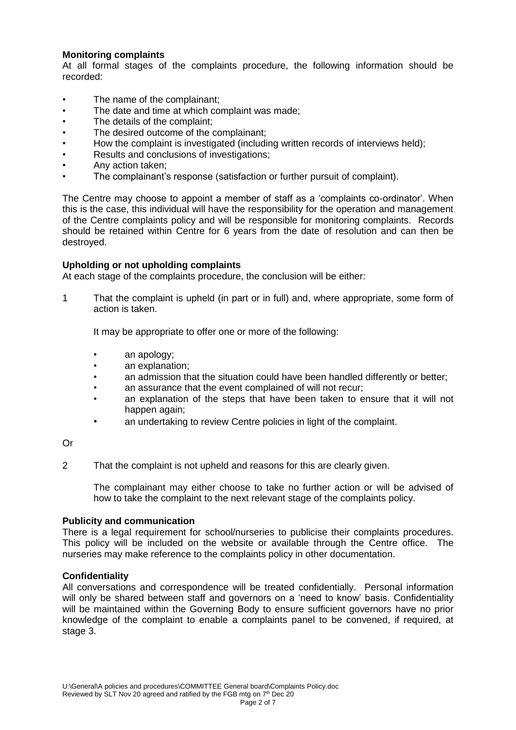## **Monitoring complaints**

At all formal stages of the complaints procedure, the following information should be recorded:

- The name of the complainant:
- The date and time at which complaint was made:
- The details of the complaint:
- The desired outcome of the complainant;
- How the complaint is investigated (including written records of interviews held);
- Results and conclusions of investigations;
- Any action taken;
- The complainant's response (satisfaction or further pursuit of complaint).

The Centre may choose to appoint a member of staff as a 'complaints co-ordinator'. When this is the case, this individual will have the responsibility for the operation and management of the Centre complaints policy and will be responsible for monitoring complaints. Records should be retained within Centre for 6 years from the date of resolution and can then be destroyed.

#### **Upholding or not upholding complaints**

At each stage of the complaints procedure, the conclusion will be either:

1 That the complaint is upheld (in part or in full) and, where appropriate, some form of action is taken.

It may be appropriate to offer one or more of the following:

- an apology;
- an explanation:
- an admission that the situation could have been handled differently or better;
- an assurance that the event complained of will not recur;
- an explanation of the steps that have been taken to ensure that it will not happen again;
- an undertaking to review Centre policies in light of the complaint.

Or

2 That the complaint is not upheld and reasons for this are clearly given.

The complainant may either choose to take no further action or will be advised of how to take the complaint to the next relevant stage of the complaints policy.

#### **Publicity and communication**

There is a legal requirement for school/nurseries to publicise their complaints procedures. This policy will be included on the website or available through the Centre office. The nurseries may make reference to the complaints policy in other documentation.

## **Confidentiality**

All conversations and correspondence will be treated confidentially. Personal information will only be shared between staff and governors on a 'need to know' basis. Confidentiality will be maintained within the Governing Body to ensure sufficient governors have no prior knowledge of the complaint to enable a complaints panel to be convened, if required, at stage 3.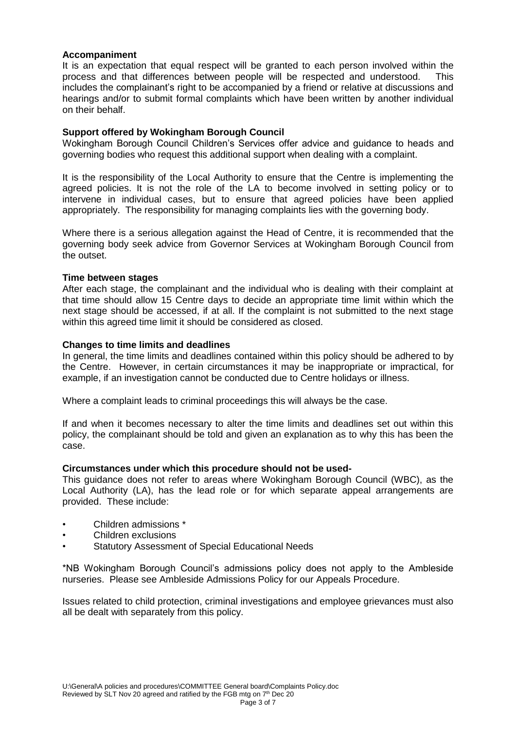## **Accompaniment**

It is an expectation that equal respect will be granted to each person involved within the process and that differences between people will be respected and understood. This includes the complainant's right to be accompanied by a friend or relative at discussions and hearings and/or to submit formal complaints which have been written by another individual on their behalf.

## **Support offered by Wokingham Borough Council**

Wokingham Borough Council Children's Services offer advice and guidance to heads and governing bodies who request this additional support when dealing with a complaint.

It is the responsibility of the Local Authority to ensure that the Centre is implementing the agreed policies. It is not the role of the LA to become involved in setting policy or to intervene in individual cases, but to ensure that agreed policies have been applied appropriately. The responsibility for managing complaints lies with the governing body.

Where there is a serious allegation against the Head of Centre, it is recommended that the governing body seek advice from Governor Services at Wokingham Borough Council from the outset.

#### **Time between stages**

After each stage, the complainant and the individual who is dealing with their complaint at that time should allow 15 Centre days to decide an appropriate time limit within which the next stage should be accessed, if at all. If the complaint is not submitted to the next stage within this agreed time limit it should be considered as closed.

### **Changes to time limits and deadlines**

In general, the time limits and deadlines contained within this policy should be adhered to by the Centre. However, in certain circumstances it may be inappropriate or impractical, for example, if an investigation cannot be conducted due to Centre holidays or illness.

Where a complaint leads to criminal proceedings this will always be the case.

If and when it becomes necessary to alter the time limits and deadlines set out within this policy, the complainant should be told and given an explanation as to why this has been the case.

#### **Circumstances under which this procedure should not be used-**

This guidance does not refer to areas where Wokingham Borough Council (WBC), as the Local Authority (LA), has the lead role or for which separate appeal arrangements are provided. These include:

- Children admissions \*
- Children exclusions
- Statutory Assessment of Special Educational Needs

\*NB Wokingham Borough Council's admissions policy does not apply to the Ambleside nurseries. Please see Ambleside Admissions Policy for our Appeals Procedure.

Issues related to child protection, criminal investigations and employee grievances must also all be dealt with separately from this policy.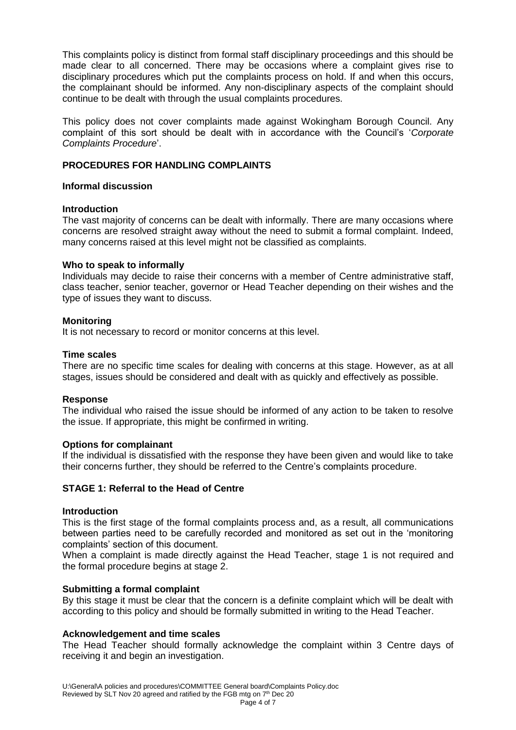This complaints policy is distinct from formal staff disciplinary proceedings and this should be made clear to all concerned. There may be occasions where a complaint gives rise to disciplinary procedures which put the complaints process on hold. If and when this occurs, the complainant should be informed. Any non-disciplinary aspects of the complaint should continue to be dealt with through the usual complaints procedures.

This policy does not cover complaints made against Wokingham Borough Council. Any complaint of this sort should be dealt with in accordance with the Council's '*Corporate Complaints Procedure*'.

## **PROCEDURES FOR HANDLING COMPLAINTS**

## **Informal discussion**

## **Introduction**

The vast majority of concerns can be dealt with informally. There are many occasions where concerns are resolved straight away without the need to submit a formal complaint. Indeed, many concerns raised at this level might not be classified as complaints.

### **Who to speak to informally**

Individuals may decide to raise their concerns with a member of Centre administrative staff, class teacher, senior teacher, governor or Head Teacher depending on their wishes and the type of issues they want to discuss.

### **Monitoring**

It is not necessary to record or monitor concerns at this level.

### **Time scales**

There are no specific time scales for dealing with concerns at this stage. However, as at all stages, issues should be considered and dealt with as quickly and effectively as possible.

#### **Response**

The individual who raised the issue should be informed of any action to be taken to resolve the issue. If appropriate, this might be confirmed in writing.

#### **Options for complainant**

If the individual is dissatisfied with the response they have been given and would like to take their concerns further, they should be referred to the Centre's complaints procedure.

## **STAGE 1: Referral to the Head of Centre**

#### **Introduction**

This is the first stage of the formal complaints process and, as a result, all communications between parties need to be carefully recorded and monitored as set out in the 'monitoring complaints' section of this document.

When a complaint is made directly against the Head Teacher, stage 1 is not required and the formal procedure begins at stage 2.

## **Submitting a formal complaint**

By this stage it must be clear that the concern is a definite complaint which will be dealt with according to this policy and should be formally submitted in writing to the Head Teacher.

## **Acknowledgement and time scales**

The Head Teacher should formally acknowledge the complaint within 3 Centre days of receiving it and begin an investigation.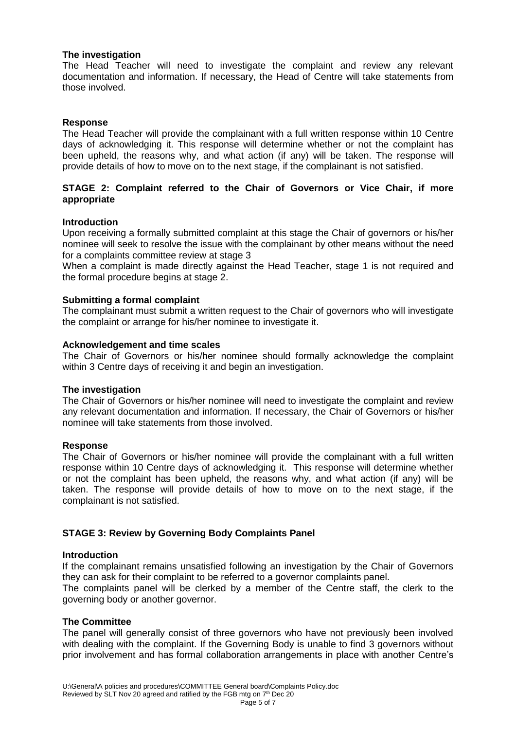### **The investigation**

The Head Teacher will need to investigate the complaint and review any relevant documentation and information. If necessary, the Head of Centre will take statements from those involved.

### **Response**

The Head Teacher will provide the complainant with a full written response within 10 Centre days of acknowledging it. This response will determine whether or not the complaint has been upheld, the reasons why, and what action (if any) will be taken. The response will provide details of how to move on to the next stage, if the complainant is not satisfied.

## **STAGE 2: Complaint referred to the Chair of Governors or Vice Chair, if more appropriate**

#### **Introduction**

Upon receiving a formally submitted complaint at this stage the Chair of governors or his/her nominee will seek to resolve the issue with the complainant by other means without the need for a complaints committee review at stage 3

When a complaint is made directly against the Head Teacher, stage 1 is not required and the formal procedure begins at stage 2.

### **Submitting a formal complaint**

The complainant must submit a written request to the Chair of governors who will investigate the complaint or arrange for his/her nominee to investigate it.

#### **Acknowledgement and time scales**

The Chair of Governors or his/her nominee should formally acknowledge the complaint within 3 Centre days of receiving it and begin an investigation.

#### **The investigation**

The Chair of Governors or his/her nominee will need to investigate the complaint and review any relevant documentation and information. If necessary, the Chair of Governors or his/her nominee will take statements from those involved.

#### **Response**

The Chair of Governors or his/her nominee will provide the complainant with a full written response within 10 Centre days of acknowledging it. This response will determine whether or not the complaint has been upheld, the reasons why, and what action (if any) will be taken. The response will provide details of how to move on to the next stage, if the complainant is not satisfied.

## **STAGE 3: Review by Governing Body Complaints Panel**

#### **Introduction**

If the complainant remains unsatisfied following an investigation by the Chair of Governors they can ask for their complaint to be referred to a governor complaints panel.

The complaints panel will be clerked by a member of the Centre staff, the clerk to the governing body or another governor.

#### **The Committee**

The panel will generally consist of three governors who have not previously been involved with dealing with the complaint. If the Governing Body is unable to find 3 governors without prior involvement and has formal collaboration arrangements in place with another Centre's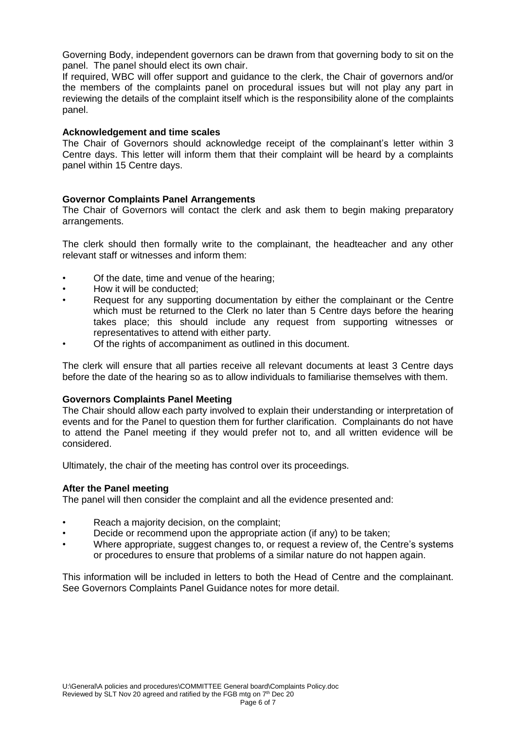Governing Body, independent governors can be drawn from that governing body to sit on the panel. The panel should elect its own chair.

If required, WBC will offer support and guidance to the clerk, the Chair of governors and/or the members of the complaints panel on procedural issues but will not play any part in reviewing the details of the complaint itself which is the responsibility alone of the complaints panel.

### **Acknowledgement and time scales**

The Chair of Governors should acknowledge receipt of the complainant's letter within 3 Centre days. This letter will inform them that their complaint will be heard by a complaints panel within 15 Centre days.

## **Governor Complaints Panel Arrangements**

The Chair of Governors will contact the clerk and ask them to begin making preparatory arrangements.

The clerk should then formally write to the complainant, the headteacher and any other relevant staff or witnesses and inform them:

- Of the date, time and venue of the hearing;
- How it will be conducted;
- Request for any supporting documentation by either the complainant or the Centre which must be returned to the Clerk no later than 5 Centre days before the hearing takes place; this should include any request from supporting witnesses or representatives to attend with either party.
- Of the rights of accompaniment as outlined in this document.

The clerk will ensure that all parties receive all relevant documents at least 3 Centre days before the date of the hearing so as to allow individuals to familiarise themselves with them.

#### **Governors Complaints Panel Meeting**

The Chair should allow each party involved to explain their understanding or interpretation of events and for the Panel to question them for further clarification. Complainants do not have to attend the Panel meeting if they would prefer not to, and all written evidence will be considered.

Ultimately, the chair of the meeting has control over its proceedings.

#### **After the Panel meeting**

The panel will then consider the complaint and all the evidence presented and:

- Reach a majority decision, on the complaint;
- Decide or recommend upon the appropriate action (if any) to be taken;
- Where appropriate, suggest changes to, or request a review of, the Centre's systems or procedures to ensure that problems of a similar nature do not happen again.

This information will be included in letters to both the Head of Centre and the complainant. See Governors Complaints Panel Guidance notes for more detail.